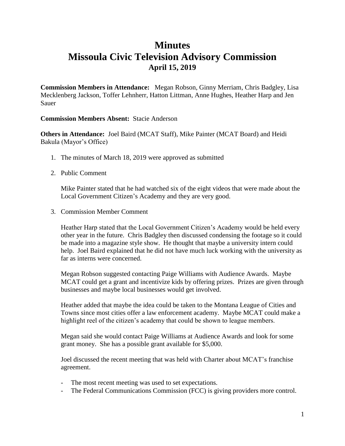## **Minutes Missoula Civic Television Advisory Commission April 15, 2019**

**Commission Members in Attendance:** Megan Robson, Ginny Merriam, Chris Badgley, Lisa Mecklenberg Jackson, Toffer Lehnherr, Hatton Littman, Anne Hughes, Heather Harp and Jen Sauer

## **Commission Members Absent:** Stacie Anderson

**Others in Attendance:** Joel Baird (MCAT Staff), Mike Painter (MCAT Board) and Heidi Bakula (Mayor's Office)

- 1. The minutes of March 18, 2019 were approved as submitted
- 2. Public Comment

Mike Painter stated that he had watched six of the eight videos that were made about the Local Government Citizen's Academy and they are very good.

3. Commission Member Comment

Heather Harp stated that the Local Government Citizen's Academy would be held every other year in the future. Chris Badgley then discussed condensing the footage so it could be made into a magazine style show. He thought that maybe a university intern could help. Joel Baird explained that he did not have much luck working with the university as far as interns were concerned.

Megan Robson suggested contacting Paige Williams with Audience Awards. Maybe MCAT could get a grant and incentivize kids by offering prizes. Prizes are given through businesses and maybe local businesses would get involved.

Heather added that maybe the idea could be taken to the Montana League of Cities and Towns since most cities offer a law enforcement academy. Maybe MCAT could make a highlight reel of the citizen's academy that could be shown to league members.

Megan said she would contact Paige Williams at Audience Awards and look for some grant money. She has a possible grant available for \$5,000.

Joel discussed the recent meeting that was held with Charter about MCAT's franchise agreement.

- The most recent meeting was used to set expectations.
- The Federal Communications Commission (FCC) is giving providers more control.